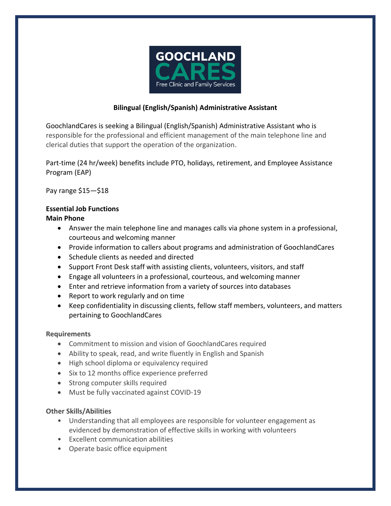

## **Bilingual (English/Spanish) Administrative Assistant**

GoochlandCares is seeking a Bilingual (English/Spanish) Administrative Assistant who is responsible for the professional and efficient management of the main telephone line and clerical duties that support the operation of the organization.

Part-time (24 hr/week) benefits include PTO, holidays, retirement, and Employee Assistance Program (EAP)

Pay range \$15—\$18

# **Essential Job Functions**

#### **Main Phone**

- Answer the main telephone line and manages calls via phone system in a professional, courteous and welcoming manner
- Provide information to callers about programs and administration of GoochlandCares
- Schedule clients as needed and directed
- Support Front Desk staff with assisting clients, volunteers, visitors, and staff
- Engage all volunteers in a professional, courteous, and welcoming manner
- Enter and retrieve information from a variety of sources into databases
- Report to work regularly and on time
- Keep confidentiality in discussing clients, fellow staff members, volunteers, and matters pertaining to GoochlandCares

## **Requirements**

- Commitment to mission and vision of GoochlandCares required
- Ability to speak, read, and write fluently in English and Spanish
- High school diploma or equivalency required
- Six to 12 months office experience preferred
- Strong computer skills required
- Must be fully vaccinated against COVID-19

## **Other Skills/Abilities**

- Understanding that all employees are responsible for volunteer engagement as evidenced by demonstration of effective skills in working with volunteers
- Excellent communication abilities
- Operate basic office equipment